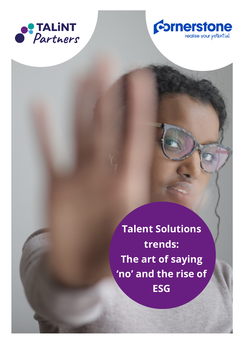



**Talent Solutions trends: The art of saying 'no' and the rise of ESG**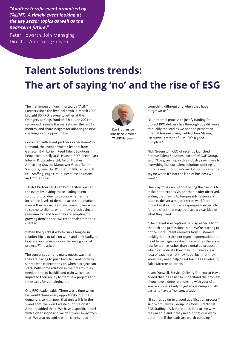*"Another terrific event organised by TALiNT. A timely event looking at the key sector topics as well as the near-term future."*

Peter Howarth, Join Managing Director, Armstrong Craven

## **Talent Solutions trends: The art of saying 'no' and the rise of ESG**

The first in-person lunch hosted by TALiNT Partners since the first lockdown in March 2020 brought 30 RPO leaders together at the Orangery at Kings Fund on 23rd June 2021 to re-connect, review the market over the last 12 months, and share insights for adapting to new challenges and opportunities.

Co-hosted with event partner Cornerstone-On-Demand, the event attracted leaders from Gattaca, IBM, Lorien, Reed Talent Solutions, PeopleScout, KellyOCG, Hudson RPO, Green Park Interim & Executive Ltd, Aston Holmes, Armstrong Craven, Manpower Group Talent Solutions, LevelUp HCS, Datum RPO, Group GTI, RGF Staffing, Page Group, Resource Solutions and Comensura.

 TALiNT Partners MD Ken Brotherston opened the event by inviting these leading talent solutions providers to discuss whether the incredible levels of demand across the market means they are increasingly having to learn how to say no to clients, what they are achieving a premium for, and how they are adapting to growing demand for ESG credentials from their clients?

"Often the quickest way to ruin a long-term relationship is to take on work and do it badly, so how are you turning down the wrong kind of projects?" he asked.

The consensus among many guests was that they are having to push back to clients now to set realistic expectations on when a project can start. With some attrition in their teams, they needed time to backfill and train which has impacted their ability to start new projects and timescales for completing them.

One RPO leader said: "There was a time when we would chase every opportunity, but the demand is so high now, that unless it is in the sweet spot, we won't waste our time on it." Another added that: "We have a specific model with a clear scope and we don't veer away from that. We also recognise when clients need



**Ken Brotherston Managing Director TALiNT Partners**

something different and when they have outgrown us."

"Our internal process to justify funding for project RPO delivery has thorough due diligence to qualify the lead as we need to present an internal business case," added Tom Mason, Executive Director of IBM. "It's a good discipline."

Nick Greenston, CEO of recently launched Retinue Talent Solutions, part of nGAGE Group, said: "I've grown up in this industry saying yes to everything but our talent solutions offering is more relevant to today's market so it's easier to say no when it's not the kind of business we  $want''$ 

One way to say no without losing the client is to make it too expensive, another leader observed, adding that having to temporarily resource a team to deliver a major interim workforce project at short notice is expensive – especially for one client that may not have a clear idea of what they need.

"The market is exceptionally busy, especially on the tech and professional side. We're starting to notice more urgent requests from customers looking for recruitment team augmentation or a head to manage workload; sometimes the ask is just for a price rather than a detailed proposal, which can indicate they may not have a clear idea of exactly what they need, just that they know they need help," said Joanna Fagbadegun, Sales Director at Lorien.

Jason Dunwell, Service Delivery Director at Hays, added that it's easier to understand the problem if you have a deep relationship with your client. You're also less likely to get scope creep and it's easier to have a 'no' conversation.

"It comes down to a good qualification process," said Scott Siwicki, Group Solutions Director at RGF Staffing. "Ask more questions to see why they need it and if they need it that quickly to determine if the leads are worth pursuing."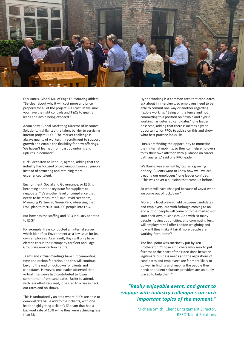

Olly Harris, Global MD of Page Outsourcing added: "Be clear about why it will cost more and price properly for all of the project RPO cost. Make sure you have the right controls and T&Cs to qualify leads and avoid being exposed."

Adam Shay, Global Marketing Director of Resource Solutions, highlighted the talent barrier to servicing interim project RPO. "The market challenge is always quality of workers in recruitment to support growth and enable the flexibility for new offerings. We haven't learned from past downturns and upturns in demand."

Nick Greenston at Retinue, agreed, adding that the industry has focused on growing outsourced juniors instead of attracting and retaining more experienced talent.

Environment, Social and Governance, or ESG, is becoming another key issue for suppliers to negotiate. "It's another level of compliance that needs to be measured," said David Needham, Managing Partner at Green Park, observing that PWC plan to recruit 100,000 people into ESG.

But how has the staffing and RPO industry adapted to ESG?

For example, Hays conducted an internal survey which identified Environment as a key issue for its own employees. As a result, Hays will only have electric cars in their company car fleet and Page Group are now carbon neutral.

Teams and virtual meetings have cut commuting time and carbon footprint, and this will continue beyond the end of lockdown for clients and candidates. However, one leader observed that virtual interviews had contributed to lower commitment from candidates. Easier to attend, with less effort required, it has led to a rise in back out rates and no shows.

This is undoubtedly an area where RPOs are able to demonstrate value add to their clients, with one leader highlighting a client's TA team that had a back-out rate of 10% while they were achieving less than 3%.

Hybrid working is a common area that candidates ask about in interviews, so employers need to be able to commit one way or another regarding flexible working. "Being on the fence and not committing to a position on flexible and hybrid working has deterred candidates," one leader observed, adding that there is increasingly an opportunity for RPOs to advise on this and show what best practice looks like.

"RPOs are finding the opportunity to monetize their internal mobility, so they can help employers to fix their own attrition with guidance on career path analysis," said one RPO leader.

Wellbeing was also highlighted as a growing priority. "Clients want to know how well we are treating our employees," one leader confided. "This was never a question that came up before."

So what will have changed because of Covid when we come out of lockdown?

More of a level playing field between candidates and employers, but with furlough coming to an end a lot of people will come onto the market – or start their own businesses. And with so many people moving out of cities, and commuting less, will employers still offer London weighting and how will they make it fair if more people are working from home?

The final point was succinctly put by Ken Brotherston: "Those employers who seek to put fairness at the heart of their decisions between legitimate business needs and the aspirations of candidates and employees are far more likely to do well in finding and keeping the people they need; and talent solutions providers are uniquely placed to help them."

## *"Really enjoyable event, and great to engage with industry colleagues on such important topics of the moment."*

Michele Smith, Client Engagement Director, REED Talent Solutions